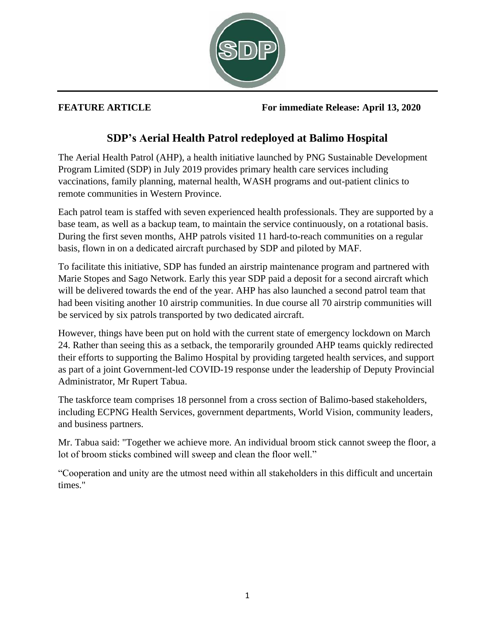

**FEATURE ARTICLE For immediate Release: April 13, 2020**

## **SDP's Aerial Health Patrol redeployed at Balimo Hospital**

The Aerial Health Patrol (AHP), a health initiative launched by PNG Sustainable Development Program Limited (SDP) in July 2019 provides primary health care services including vaccinations, family planning, maternal health, WASH programs and out-patient clinics to remote communities in Western Province.

Each patrol team is staffed with seven experienced health professionals. They are supported by a base team, as well as a backup team, to maintain the service continuously, on a rotational basis. During the first seven months, AHP patrols visited 11 hard-to-reach communities on a regular basis, flown in on a dedicated aircraft purchased by SDP and piloted by MAF.

To facilitate this initiative, SDP has funded an airstrip maintenance program and partnered with Marie Stopes and Sago Network. Early this year SDP paid a deposit for a second aircraft which will be delivered towards the end of the year. AHP has also launched a second patrol team that had been visiting another 10 airstrip communities. In due course all 70 airstrip communities will be serviced by six patrols transported by two dedicated aircraft.

However, things have been put on hold with the current state of emergency lockdown on March 24. Rather than seeing this as a setback, the temporarily grounded AHP teams quickly redirected their efforts to supporting the Balimo Hospital by providing targeted health services, and support as part of a joint Government-led COVID-19 response under the leadership of Deputy Provincial Administrator, Mr Rupert Tabua.

The taskforce team comprises 18 personnel from a cross section of Balimo-based stakeholders, including ECPNG Health Services, government departments, World Vision, community leaders, and business partners.

Mr. Tabua said: "Together we achieve more. An individual broom stick cannot sweep the floor, a lot of broom sticks combined will sweep and clean the floor well."

"Cooperation and unity are the utmost need within all stakeholders in this difficult and uncertain times."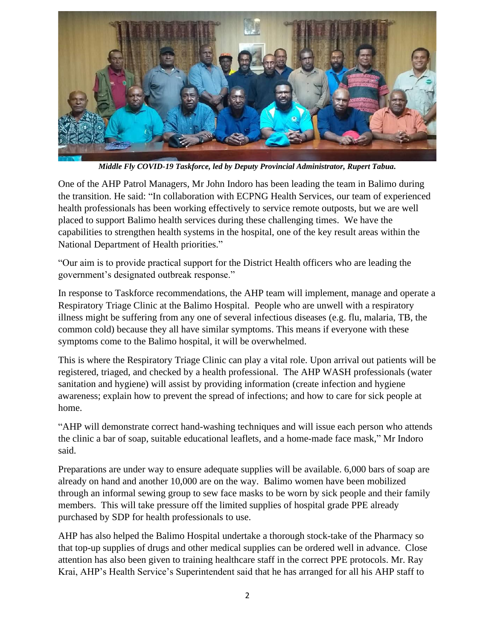

*Middle Fly COVID-19 Taskforce, led by Deputy Provincial Administrator, Rupert Tabua.*

One of the AHP Patrol Managers, Mr John Indoro has been leading the team in Balimo during the transition. He said: "In collaboration with ECPNG Health Services, our team of experienced health professionals has been working effectively to service remote outposts, but we are well placed to support Balimo health services during these challenging times. We have the capabilities to strengthen health systems in the hospital, one of the key result areas within the National Department of Health priorities."

"Our aim is to provide practical support for the District Health officers who are leading the government's designated outbreak response."

In response to Taskforce recommendations, the AHP team will implement, manage and operate a Respiratory Triage Clinic at the Balimo Hospital. People who are unwell with a respiratory illness might be suffering from any one of several infectious diseases (e.g. flu, malaria, TB, the common cold) because they all have similar symptoms. This means if everyone with these symptoms come to the Balimo hospital, it will be overwhelmed.

This is where the Respiratory Triage Clinic can play a vital role. Upon arrival out patients will be registered, triaged, and checked by a health professional. The AHP WASH professionals (water sanitation and hygiene) will assist by providing information (create infection and hygiene awareness; explain how to prevent the spread of infections; and how to care for sick people at home.

"AHP will demonstrate correct hand-washing techniques and will issue each person who attends the clinic a bar of soap, suitable educational leaflets, and a home-made face mask," Mr Indoro said.

Preparations are under way to ensure adequate supplies will be available. 6,000 bars of soap are already on hand and another 10,000 are on the way. Balimo women have been mobilized through an informal sewing group to sew face masks to be worn by sick people and their family members. This will take pressure off the limited supplies of hospital grade PPE already purchased by SDP for health professionals to use.

AHP has also helped the Balimo Hospital undertake a thorough stock-take of the Pharmacy so that top-up supplies of drugs and other medical supplies can be ordered well in advance. Close attention has also been given to training healthcare staff in the correct PPE protocols. Mr. Ray Krai, AHP's Health Service's Superintendent said that he has arranged for all his AHP staff to